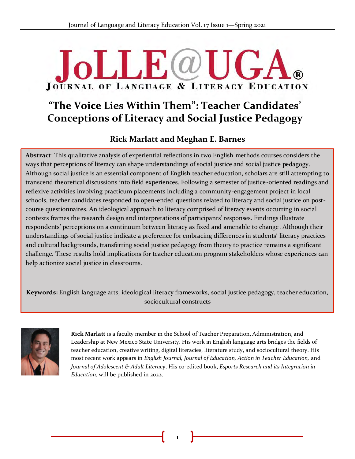# $\overline{\mathsf{L}}$ **JOURNAL OF LANGUAGE & LITERACY EDUCATION**

# **"The Voice Lies Within Them": Teacher Candidates' Conceptions of Literacy and Social Justice Pedagogy**

# **Rick Marlatt and Meghan E. Barnes**

**Abstract**: This qualitative analysis of experiential reflections in two English methods courses considers the & ways that perceptions of literacy can shape understandings of social justice and social justice pedagogy. Although social justice is an essential component of English teacher education, scholars are still attempting to transcend theoretical discussions into field experiences. Following a semester of justice-oriented readings and reflexive activities involving practicum placements including a community-engagement project in local schools, teacher candidates responded to open-ended questions related to literacy and social justice on postcourse questionnaires. An ideological approach to literacy comprised of literacy events occurring in social contexts frames the research design and interpretations of participants' responses. Findings illustrate respondents' perceptions on a continuum between literacy as fixed and amenable to change. Although their understandings of social justice indicate a preference for embracing differences in students' literacy practices and cultural backgrounds, transferring social justice pedagogy from theory to practice remains a significant challenge. These results hold implications for teacher education program stakeholders whose experiences can help actionize social justice in classrooms.

**Keywords:** English language arts, ideological literacy frameworks, social justice pedagogy, teacher education, sociocultural constructs



**Rick Marlatt** is a faculty member in the School of Teacher Preparation, Administration, and Leadership at New Mexico State University. His work in English language arts bridges the fields of teacher education, creative writing, digital literacies, literature study, and sociocultural theory. His most recent work appears in *English Journal, Journal of Education, Action in Teacher Education,* and *Journal of Adolescent & Adult Literacy*. His co-edited book, *Esports Research and its Integration in Education*, will be published in 2022.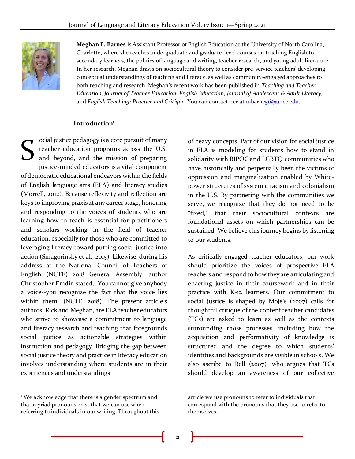

**Meghan E. Barnes** is Assistant Professor of English Education at the University of North Carolina, Charlotte, where she teaches undergraduate and graduate-level courses on teaching English to secondary learners, the politics of language and writing, teacher research, and young adult literature. In her research, Meghan draws on sociocultural theory to consider pre-service teachers' developing conceptual understandings of teaching and literacy, as well as community-engaged approaches to both teaching and research. Meghan's recent work has been published in *Teaching and Teacher Education*, *Journal of Teacher Education*, *English Education*, *Journal of Adolescent & Adult Literacy,* and *English Teaching: Practice and Critique*. You can contact her at [mbarne56@uncc.edu.](mailto:mbarne56@uncc.edu)

#### **Introduction<sup>1</sup>**

ocial justice pedagogy is a core pursuit of many teacher education programs across the U.S. and beyond, and the mission of preparing justice-minded educators is a vital component of democratic educational endeavors within the fields of English language arts (ELA) and literacy studies (Morrell, 2012). Because reflexivity and reflection are keys to improving praxis at any career stage, honoring and responding to the voices of students who are learning how to teach is essential for practitioners and scholars working in the field of teacher education, especially for those who are committed to leveraging literacy toward putting social justice into action (Smagorinsky et al., 2015). Likewise, during his address at the National Council of Teachers of English (NCTE) 2018 General Assembly, author Christopher Emdin stated, "You cannot give anybody a voice--you recognize the fact that the voice lies within them" (NCTE, 2018). The present article's authors, Rick and Meghan, are ELA teacher educators who strive to showcase a commitment to language and literacy research and teaching that foregrounds social justice as actionable strategies within instruction and pedagogy. Bridging the gap between social justice theory and practice in literacy education involves understanding where students are in their experiences and understandings S

of heavy concepts. Part of our vision for social justice in ELA is modeling for students how to stand in solidarity with BIPOC and LGBTQ communities who have historically and perpetually been the victims of oppression and marginalization enabled by Whitepower structures of systemic racism and colonialism in the U.S. By partnering with the communities we serve, we recognize that they do not need to be "fixed," that their sociocultural contexts are foundational assets on which partnerships can be sustained. We believe this journey begins by listening to our students.

As critically-engaged teacher educators, our work should prioritize the voices of prospective ELA teachers and respond to how they are articulating and enacting justice in their coursework and in their practice with K-12 learners. Our commitment to social justice is shaped by Moje's (2007) calls for thoughtful critique of the content teacher candidates (TCs) are asked to learn as well as the contexts surrounding those processes, including how the acquisition and performativity of knowledge is structured and the degree to which students' identities and backgrounds are visible in schools. We also ascribe to Bell (2007), who argues that TCs should develop an awareness of our collective

<sup>&</sup>lt;sup>1</sup> We acknowledge that there is a gender spectrum and that myriad pronouns exist that we can use when referring to individuals in our writing. Throughout this

article we use pronouns to refer to individuals that correspond with the pronouns that they use to refer to themselves.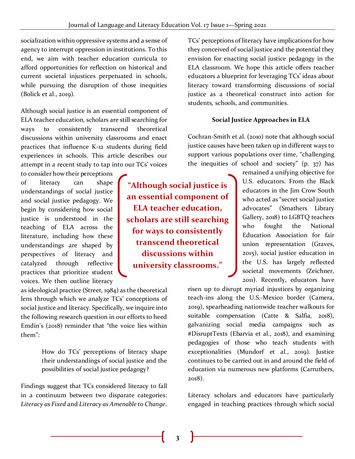socialization within oppressive systems and a sense of agency to interrupt oppression in institutions. To this end, we aim with teacher education curricula to afford opportunities for reflection on historical and current societal injustices perpetuated in schools, while pursuing the disruption of those inequities (Bolick et al., 2019).

Although social justice is an essential component of ELA teacher education, scholars are still searching for ways to consistently transcend theoretical discussions within university classrooms and enact practices that influence K-12 students during field experiences in schools. This article describes our attempt in a recent study to tap into our TCs' voices

to consider how their perceptions of literacy can shape understandings of social justice and social justice pedagogy. We begin by considering how social justice is understood in the teaching of ELA across the literature, including how these understandings are shaped by perspectives of literacy and catalyzed through reflective practices that prioritize student voices. We then outline literacy

as ideological practice (Street, 1984) as the theoretical lens through which we analyze TCs' conceptions of social justice and literacy. Specifically, we inquire into the following research question in our efforts to heed Emdin's (2018) reminder that "the voice lies within them":

> How do TCs' perceptions of literacy shape their understandings of social justice and the possibilities of social justice pedagogy?

Findings suggest that TCs considered literacy to fall in a continuum between two disparate categories: *Literacy as Fixed* and *Literacy as Amenable to Change*.

TCs' perceptions of literacy have implications for how they conceived of social justice and the potential they envision for enacting social justice pedagogy in the ELA classroom. We hope this article offers teacher educators a blueprint for leveraging TCs' ideas about literacy toward transforming discussions of social justice as a theoretical construct into action for students, schools, and communities.

#### **Social Justice Approaches in ELA**

Cochran-Smith et al. (2010) note that although social justice causes have been taken up in different ways to support various populations over time, "challenging the inequities of school and society" (p. 37) has

> remained a unifying objective for U.S. educators. From the Black educators in the Jim Crow South who acted as "secret social justice advocates" (Smathers Library Gallery, 2018) to LGBTQ teachers who fought the National Education Association for fair union representation (Graves, 2015), social justice education in the U.S. has largely reflected societal movements (Zeichner, 2011). Recently, educators have

risen up to disrupt myriad injustices by organizing teach-ins along the U.S.-Mexico border (Camera, 2019), spearheading nationwide teacher walkouts for suitable compensation (Catte & Salfia, 2018), galvanizing social media campaigns such as #DisruptTexts (Ebarvia et al., 2018), and examining pedagogies of those who teach students with exceptionalities (Mundorf et al., 2019). Justice continues to be carried out in and around the field of education via numerous new platforms (Carruthers, 2018).

Literacy scholars and educators have particularly engaged in teaching practices through which social

**"Although social justice is an essential component of ELA teacher education, scholars are still searching for ways to consistently transcend theoretical discussions within university classrooms."**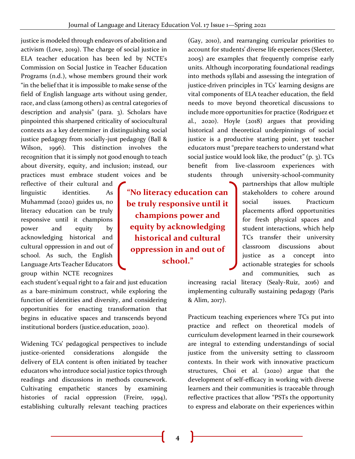justice is modeled through endeavors of abolition and activism (Love, 2019). The charge of social justice in ELA teacher education has been led by NCTE's Commission on Social Justice in Teacher Education Programs (n.d.), whose members ground their work "in the belief that it is impossible to make sense of the field of English language arts without using gender, race, and class (among others) as central categories of description and analysis" (para. 3). Scholars have pinpointed this sharpened criticality of sociocultural contexts as a key determiner in distinguishing social justice pedagogy from socially-just pedagogy (Ball & Wilson, 1996). This distinction involves the recognition that it is simply not good enough to teach about diversity, equity, and inclusion; instead, our practices must embrace student voices and be

reflective of their cultural and linguistic identities. As Muhammad (2020) guides us, no literacy education can be truly responsive until it champions power and equity by acknowledging historical and cultural oppression in and out of school. As such, the English Language Arts Teacher Educators group within NCTE recognizes

each student's equal right to a fair and just education as a bare-minimum construct, while exploring the function of identities and diversity, and considering opportunities for enacting transformation that begins in educative spaces and transcends beyond institutional borders (justice.education, 2020).

Widening TCs' pedagogical perspectives to include justice-oriented considerations alongside the delivery of ELA content is often initiated by teacher educators who introduce social justice topics through readings and discussions in methods coursework. Cultivating empathetic stances by examining histories of racial oppression (Freire, 1994), establishing culturally relevant teaching practices

**"No literacy education can be truly responsive until it champions power and equity by acknowledging historical and cultural oppression in and out of school."**

(Gay, 2010), and rearranging curricular priorities to account for students' diverse life experiences (Sleeter, 2005) are examples that frequently comprise early units. Although incorporating foundational readings into methods syllabi and assessing the integration of justice-driven principles in TCs' learning designs are vital components of ELA teacher education, the field needs to move beyond theoretical discussions to include more opportunities for practice (Rodriguez et al., 2020). Hoyle (2018) argues that providing historical and theoretical underpinnings of social justice is a productive starting point, yet teacher educators must "prepare teachers to understand what social justice would look like, the product" (p. 3). TCs benefit from live-classroom experiences with students through university-school-community

> partnerships that allow multiple stakeholders to cohere around social issues. Practicum placements afford opportunities for fresh physical spaces and student interactions, which help TCs transfer their university classroom discussions about justice as a concept into actionable strategies for schools and communities, such as

increasing racial literacy (Sealy-Ruiz, 2016) and implementing culturally sustaining pedagogy (Paris & Alim, 2017).

Practicum teaching experiences where TCs put into practice and reflect on theoretical models of curriculum development learned in their coursework are integral to extending understandings of social justice from the university setting to classroom contexts. In their work with innovative practicum structures, Choi et al. (2020) argue that the development of self-efficacy in working with diverse learners and their communities is traceable through reflective practices that allow "PSTs the opportunity to express and elaborate on their experiences within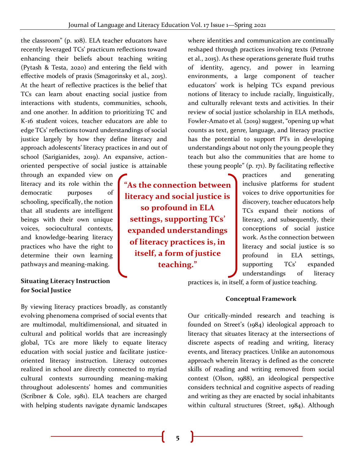the classroom" (p. 108). ELA teacher educators have recently leveraged TCs' practicum reflections toward enhancing their beliefs about teaching writing (Pytash & Testa, 2020) and entering the field with effective models of praxis (Smagorinsky et al., 2015). At the heart of reflective practices is the belief that TCs can learn about enacting social justice from interactions with students, communities, schools, and one another. In addition to prioritizing TC and K-16 student voices, teacher educators are able to edge TCs' reflections toward understandings of social justice largely by how they define literacy and approach adolescents' literacy practices in and out of school (Sarigianides, 2019). An expansive, actionoriented perspective of social justice is attainable

through an expanded view on literacy and its role within the democratic purposes of schooling, specifically, the notion that all students are intelligent beings with their own unique voices, sociocultural contexts, and knowledge-bearing literacy practices who have the right to determine their own learning pathways and meaning-making.

#### **Situating Literacy Instruction for Social Justice**

By viewing literacy practices broadly, as constantly evolving phenomena comprised of social events that are multimodal, multidimensional, and situated in cultural and political worlds that are increasingly global, TCs are more likely to equate literacy education with social justice and facilitate justiceoriented literacy instruction. Literacy outcomes realized in school are directly connected to myriad cultural contexts surrounding meaning-making throughout adolescents' homes and communities (Scribner & Cole, 1981). ELA teachers are charged with helping students navigate dynamic landscapes

**"As the connection between literacy and social justice is so profound in ELA settings, supporting TCs' expanded understandings of literacy practices is, in itself, a form of justice teaching."**

where identities and communication are continually reshaped through practices involving texts (Petrone et al., 2015). As these operations generate fluid truths of identity, agency, and power in learning environments, a large component of teacher educators' work is helping TCs expand previous notions of literacy to include racially, linguistically, and culturally relevant texts and activities. In their review of social justice scholarship in ELA methods, Fowler-Amato et al. (2019) suggest, "opening up what counts as text, genre, language, and literacy practice has the potential to support PTs in developing understandings about not only the young people they teach but also the communities that are home to these young people" (p. 171). By facilitating reflective

practices and generating inclusive platforms for student voices to drive opportunities for discovery, teacher educators help TCs expand their notions of literacy, and subsequently, their conceptions of social justice work. As the connection between literacy and social justice is so profound in ELA settings, supporting TCs' expanded understandings of literacy

practices is, in itself, a form of justice teaching.

#### **Conceptual Framework**

Our critically-minded research and teaching is founded on Street's (1984) ideological approach to literacy that situates literacy at the intersections of discrete aspects of reading and writing, literacy events, and literacy practices. Unlike an autonomous approach wherein literacy is defined as the concrete skills of reading and writing removed from social context (Olson, 1988), an ideological perspective considers technical and cognitive aspects of reading and writing as they are enacted by social inhabitants within cultural structures (Street, 1984). Although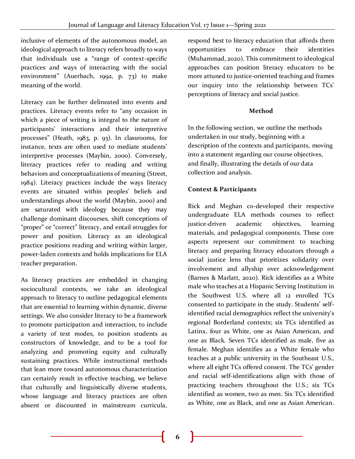inclusive of elements of the autonomous model, an ideological approach to literacy refers broadly to ways that individuals use a "range of context-specific practices and ways of interacting with the social environment" (Auerbach, 1992, p. 73) to make meaning of the world.

Literacy can be further delineated into events and practices. Literacy events refer to "any occasion in which a piece of writing is integral to the nature of participants' interactions and their interpretive processes" (Heath, 1983, p. 93). In classrooms, for instance, texts are often used to mediate students' interpretive processes (Maybin, 2000). Conversely, literacy practices refer to reading and writing behaviors and conceptualizations of meaning (Street, 1984). Literacy practices include the ways literacy events are situated within peoples' beliefs and understandings about the world (Maybin, 2000) and are saturated with ideology because they may challenge dominant discourses, shift conceptions of "proper" or "correct" literacy, and entail struggles for power and position. Literacy as an ideological practice positions reading and writing within larger, power-laden contexts and holds implications for ELA teacher preparation.

As literacy practices are embedded in changing sociocultural contexts, we take an ideological approach to literacy to outline pedagogical elements that are essential to learning within dynamic, diverse settings. We also consider literacy to be a framework to promote participation and interaction, to include a variety of text modes, to position students as constructors of knowledge, and to be a tool for analyzing and promoting equity and culturally sustaining practices. While instructional methods that lean more toward autonomous characterization can certainly result in effective teaching, we believe that culturally and linguistically diverse students, whose language and literacy practices are often absent or discounted in mainstream curricula,

respond best to literacy education that affords them opportunities to embrace their identities (Muhammad, 2020). This commitment to ideological approaches can position literacy educators to be more attuned to justice-oriented teaching and frames our inquiry into the relationship between TCs' perceptions of literacy and social justice.

#### **Method**

In the following section, we outline the methods undertaken in our study, beginning with a description of the contexts and participants, moving into a statement regarding our course objectives, and finally, illustrating the details of our data collection and analysis.

#### **Context & Participants**

Rick and Meghan co-developed their respective undergraduate ELA methods courses to reflect justice-driven academic objectives, learning materials, and pedagogical components. These core aspects represent our commitment to teaching literacy and preparing literacy educators through a social justice lens that prioritizes solidarity over involvement and allyship over acknowledgement (Barnes & Marlatt, 2020). Rick identifies as a White male who teaches at a Hispanic Serving Institution in the Southwest U.S. where all 12 enrolled TCs consented to participate in the study. Students' selfidentified racial demographics reflect the university's regional Borderland contexts; six TCs identified as Latinx, four as White, one as Asian American, and one as Black. Seven TCs identified as male, five as female. Meghan identifies as a White female who teaches at a public university in the Southeast U.S., where all eight TCs offered consent. The TCs' gender and racial self-identifications align with those of practicing teachers throughout the U.S.; six TCs identified as women, two as men. Six TCs identified as White, one as Black, and one as Asian American.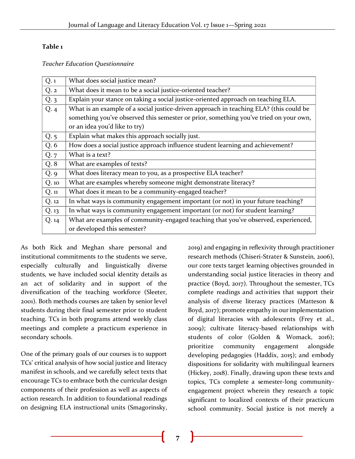#### **Table 1**

*Teacher Education Questionnaire*

| Q.1      | What does social justice mean?                                                         |
|----------|----------------------------------------------------------------------------------------|
| Q.2      | What does it mean to be a social justice-oriented teacher?                             |
| Q.3      | Explain your stance on taking a social justice-oriented approach on teaching ELA.      |
| Q.4      | What is an example of a social justice-driven approach in teaching ELA? (this could be |
|          | something you've observed this semester or prior, something you've tried on your own,  |
|          | or an idea you'd like to try)                                                          |
| Q.5      | Explain what makes this approach socially just.                                        |
| Q. 6     | How does a social justice approach influence student learning and achievement?         |
| Q.7      | What is a text?                                                                        |
| Q.8      | What are examples of texts?                                                            |
| Q.9      | What does literacy mean to you, as a prospective ELA teacher?                          |
| Q.10     | What are examples whereby someone might demonstrate literacy?                          |
| $Q.$ $n$ | What does it mean to be a community-engaged teacher?                                   |
| Q.12     | In what ways is community engagement important (or not) in your future teaching?       |
| Q.13     | In what ways is community engagement important (or not) for student learning?          |
| Q.14     | What are examples of community-engaged teaching that you've observed, experienced,     |
|          | or developed this semester?                                                            |

As both Rick and Meghan share personal and institutional commitments to the students we serve, especially culturally and linguistically diverse students, we have included social identity details as an act of solidarity and in support of the diversification of the teaching workforce (Sleeter, 2001). Both methods courses are taken by senior level students during their final semester prior to student teaching. TCs in both programs attend weekly class meetings and complete a practicum experience in secondary schools.

One of the primary goals of our courses is to support TCs' critical analysis of how social justice and literacy manifest in schools, and we carefully select texts that encourage TCs to embrace both the curricular design components of their profession as well as aspects of action research. In addition to foundational readings on designing ELA instructional units (Smagorinsky,

2019) and engaging in reflexivity through practitioner research methods (Chiseri-Strater & Sunstein, 2006), our core texts target learning objectives grounded in understanding social justice literacies in theory and practice (Boyd, 2017). Throughout the semester, TCs complete readings and activities that support their analysis of diverse literacy practices (Matteson & Boyd, 2017); promote empathy in our implementation of digital literacies with adolescents (Frey et al., 2009); cultivate literacy-based relationships with students of color (Golden & Womack, 2016); prioritize community engagement alongside developing pedagogies (Haddix, 2015); and embody dispositions for solidarity with multilingual learners (Hickey, 2018). Finally, drawing upon these texts and topics, TCs complete a semester-long communityengagement project wherein they research a topic significant to localized contexts of their practicum school community. Social justice is not merely a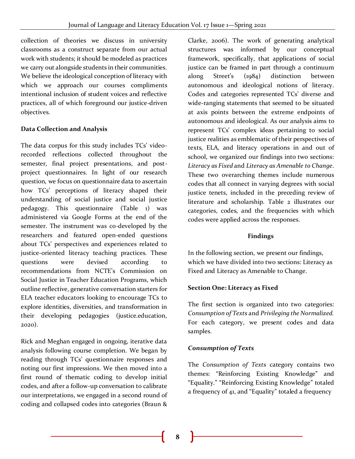collection of theories we discuss in university classrooms as a construct separate from our actual work with students; it should be modeled as practices we carry out alongside students in their communities. We believe the ideological conception of literacy with which we approach our courses compliments intentional inclusion of student voices and reflective practices, all of which foreground our justice-driven objectives.

#### **Data Collection and Analysis**

The data corpus for this study includes TCs' videorecorded reflections collected throughout the semester, final project presentations, and postproject questionnaires. In light of our research question, we focus on questionnaire data to ascertain how TCs' perceptions of literacy shaped their understanding of social justice and social justice pedagogy. This questionnaire (Table 1) was administered via Google Forms at the end of the semester. The instrument was co-developed by the researchers and featured open-ended questions about TCs' perspectives and experiences related to justice-oriented literacy teaching practices. These questions were devised according to recommendations from NCTE's Commission on Social Justice in Teacher Education Programs, which outline reflective, generative conversation starters for ELA teacher educators looking to encourage TCs to explore identities, diversities, and transformation in their developing pedagogies (justice.education, 2020).

Rick and Meghan engaged in ongoing, iterative data analysis following course completion. We began by reading through TCs' questionnaire responses and noting our first impressions. We then moved into a first round of thematic coding to develop initial codes, and after a follow-up conversation to calibrate our interpretations, we engaged in a second round of coding and collapsed codes into categories (Braun &

Clarke, 2006). The work of generating analytical structures was informed by our conceptual framework, specifically, that applications of social justice can be framed in part through a continuum along Street's (1984) distinction between autonomous and ideological notions of literacy. Codes and categories represented TCs' diverse and wide-ranging statements that seemed to be situated at axis points between the extreme endpoints of autonomous and ideological. As our analysis aims to represent TCs' complex ideas pertaining to social justice realities as emblematic of their perspectives of texts, ELA, and literacy operations in and out of school, we organized our findings into two sections: *Literacy as Fixed* and *Literacy as Amenable to Change*. These two overarching themes include numerous codes that all connect in varying degrees with social justice tenets, included in the preceding review of literature and scholarship. Table 2 illustrates our categories, codes, and the frequencies with which codes were applied across the responses.

#### **Findings**

In the following section, we present our findings, which we have divided into two sections: Literacy as Fixed and Literacy as Amenable to Change.

#### **Section One: Literacy as Fixed**

The first section is organized into two categories: *Consumption of Texts* and *Privileging the Normalized.*  For each category, we present codes and data samples.

### *Consumption of Texts*

The *Consumption of Texts* category contains two themes: "Reinforcing Existing Knowledge" and "Equality." "Reinforcing Existing Knowledge" totaled a frequency of 41, and "Equality" totaled a frequency

**8**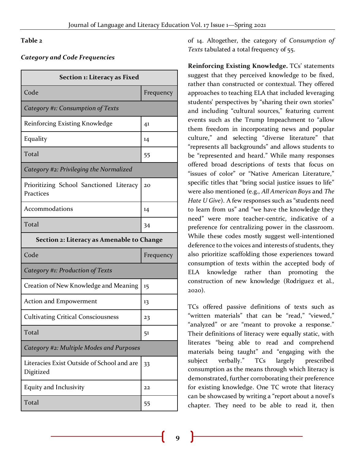#### **Table 2**

#### *Category and Code Frequencies*

| Section 1: Literacy as Fixed                            |           |  |
|---------------------------------------------------------|-----------|--|
| Code                                                    | Frequency |  |
| Category #1: Consumption of Texts                       |           |  |
| Reinforcing Existing Knowledge                          | 41        |  |
| Equality                                                | 14        |  |
| Total                                                   | 55        |  |
| Category #2: Privileging the Normalized                 |           |  |
| Prioritizing School Sanctioned Literacy<br>Practices    | 20        |  |
| Accommodations                                          | 14        |  |
| Total                                                   | 34        |  |
| Section 2: Literacy as Amenable to Change               |           |  |
| Code                                                    | Frequency |  |
| Category #1: Production of Texts                        |           |  |
| Creation of New Knowledge and Meaning                   | 15        |  |
| Action and Empowerment                                  | 13        |  |
| <b>Cultivating Critical Consciousness</b>               | 23        |  |
| Total                                                   | 51        |  |
| Category #2: Multiple Modes and Purposes                |           |  |
| Literacies Exist Outside of School and are<br>Digitized | 33        |  |
| Equity and Inclusivity                                  | 22        |  |
| Total                                                   | 55        |  |

of 14. Altogether, the category of *Consumption of Texts* tabulated a total frequency of 55.

**Reinforcing Existing Knowledge.** TCs' statements suggest that they perceived knowledge to be fixed, rather than constructed or contextual. They offered approaches to teaching ELA that included leveraging students' perspectives by "sharing their own stories" and including "cultural sources," featuring current events such as the Trump Impeachment to "allow them freedom in incorporating news and popular culture," and selecting "diverse literature" that "represents all backgrounds" and allows students to be "represented and heard." While many responses offered broad descriptions of texts that focus on "issues of color" or "Native American Literature," specific titles that "bring social justice issues to life" were also mentioned (e.g., *All American Boys* and *The Hate U Give*). A few responses such as "students need to learn from us" and "we have the knowledge they need" were more teacher-centric, indicative of a preference for centralizing power in the classroom. While these codes mostly suggest well-intentioned deference to the voices and interests of students, they also prioritize scaffolding those experiences toward consumption of texts within the accepted body of ELA knowledge rather than promoting the construction of new knowledge (Rodriguez et al., 2020).

TCs offered passive definitions of texts such as "written materials" that can be "read," "viewed," "analyzed" or are "meant to provoke a response." Their definitions of literacy were equally static, with literates "being able to read and comprehend materials being taught" and "engaging with the subject verbally." TCs largely prescribed consumption as the means through which literacy is demonstrated, further corroborating their preference for existing knowledge. One TC wrote that literacy can be showcased by writing a "report about a novel's chapter. They need to be able to read it, then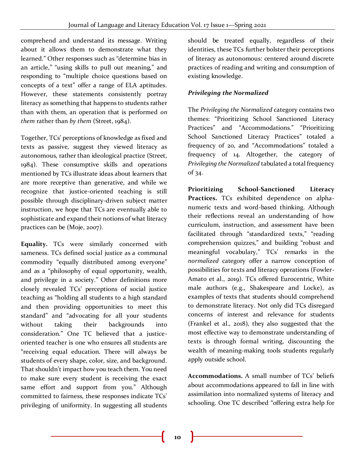comprehend and understand its message. Writing about it allows them to demonstrate what they learned." Other responses such as "determine bias in an article," "using skills to pull out meaning," and responding to "multiple choice questions based on concepts of a text" offer a range of ELA aptitudes. However, these statements consistently portray literacy as something that happens to students rather than with them, an operation that is performed *on them* rather than *by them* (Street, 1984).

Together, TCs' perceptions of knowledge as fixed and texts as passive, suggest they viewed literacy as autonomous, rather than ideological practice (Street, 1984). These consumptive skills and operations mentioned by TCs illustrate ideas about learners that are more receptive than generative, and while we recognize that justice-oriented teaching is still possible through disciplinary-driven subject matter instruction, we hope that TCs are eventually able to sophisticate and expand their notions of what literacy practices can be (Moje, 2007).

**Equality.** TCs were similarly concerned with sameness. TCs defined social justice as a communal commodity "equally distributed among everyone" and as a "philosophy of equal opportunity, wealth, and privilege in a society." Other definitions more closely revealed TCs' perceptions of social justice teaching as "holding all students to a high standard and then providing opportunities to meet this standard" and "advocating for all your students without taking their backgrounds into consideration." One TC believed that a justiceoriented teacher is one who ensures all students are "receiving equal education. There will always be students of every shape, color, size, and background. That shouldn't impact how you teach them. You need to make sure every student is receiving the exact same effort and support from you." Although committed to fairness, these responses indicate TCs' privileging of uniformity. In suggesting all students

should be treated equally, regardless of their identities, these TCs further bolster their perceptions of literacy as autonomous: centered around discrete practices of reading and writing and consumption of existing knowledge.

#### *Privileging the Normalized*

The *Privileging the Normalized* category contains two themes: "Prioritizing School Sanctioned Literacy Practices" and "Accommodations." "Prioritizing School Sanctioned Literacy Practices" totaled a frequency of 20, and "Accommodations" totaled a frequency of 14. Altogether, the category of *Privileging the Normalized* tabulated a total frequency of 34.

**Prioritizing School-Sanctioned Literacy Practices.** TCs exhibited dependence on alphanumeric texts and word-based thinking. Although their reflections reveal an understanding of how curriculum, instruction, and assessment have been facilitated through "standardized texts," "reading comprehension quizzes," and building "robust and meaningful vocabulary," TCs' remarks in the *normalized* category offer a narrow conception of possibilities for texts and literacy operations (Fowler-Amato et al., 2019). TCs offered Eurocentric, White male authors (e.g., Shakespeare and Locke), as examples of texts that students should comprehend to demonstrate literacy. Not only did TCs disregard concerns of interest and relevance for students (Frankel et al., 2018), they also suggested that the most effective way to demonstrate understanding of texts is through formal writing, discounting the wealth of meaning-making tools students regularly apply outside school.

**Accommodations.** A small number of TCs' beliefs about accommodations appeared to fall in line with assimilation into normalized systems of literacy and schooling. One TC described "offering extra help for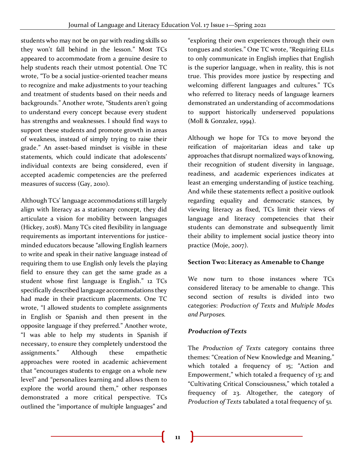students who may not be on par with reading skills so they won't fall behind in the lesson." Most TCs appeared to accommodate from a genuine desire to help students reach their utmost potential. One TC wrote, "To be a social justice-oriented teacher means to recognize and make adjustments to your teaching and treatment of students based on their needs and backgrounds." Another wrote, "Students aren't going to understand every concept because every student has strengths and weaknesses. I should find ways to support these students and promote growth in areas of weakness, instead of simply trying to raise their grade." An asset-based mindset is visible in these statements, which could indicate that adolescents' individual contexts are being considered, even if accepted academic competencies are the preferred measures of success (Gay, 2010).

Although TCs' language accommodations still largely align with literacy as a stationary concept, they did articulate a vision for mobility between languages (Hickey, 2018). Many TCs cited flexibility in language requirements as important interventions for justiceminded educators because "allowing English learners to write and speak in their native language instead of requiring them to use English only levels the playing field to ensure they can get the same grade as a student whose first language is English." 12 TCs specifically described language accommodations they had made in their practicum placements. One TC wrote, "I allowed students to complete assignments in English or Spanish and then present in the opposite language if they preferred." Another wrote, "I was able to help my students in Spanish if necessary, to ensure they completely understood the assignments." Although these empathetic approaches were rooted in academic achievement that "encourages students to engage on a whole new level" and "personalizes learning and allows them to explore the world around them," other responses demonstrated a more critical perspective. TCs outlined the "importance of multiple languages" and "exploring their own experiences through their own tongues and stories." One TC wrote, "Requiring ELLs to only communicate in English implies that English is the superior language, when in reality, this is not true. This provides more justice by respecting and welcoming different languages and cultures." TCs who referred to literacy needs of language learners demonstrated an understanding of accommodations to support historically underserved populations (Moll & Gonzalez, 1994).

Although we hope for TCs to move beyond the reification of majoritarian ideas and take up approaches that disrupt normalized ways of knowing, their recognition of student diversity in language, readiness, and academic experiences indicates at least an emerging understanding of justice teaching. And while these statements reflect a positive outlook regarding equality and democratic stances, by viewing literacy as fixed, TCs limit their views of language and literacy competencies that their students can demonstrate and subsequently limit their ability to implement social justice theory into practice (Moje, 2007).

#### **Section Two: Literacy as Amenable to Change**

We now turn to those instances where TCs considered literacy to be amenable to change. This second section of results is divided into two categories: *Production of Texts* and *Multiple Modes and Purposes.*

#### *Production of Texts*

The *Production of Texts* category contains three themes: "Creation of New Knowledge and Meaning," which totaled a frequency of 15; "Action and Empowerment," which totaled a frequency of 13; and "Cultivating Critical Consciousness," which totaled a frequency of 23. Altogether, the category of *Production of Texts* tabulated a total frequency of 51.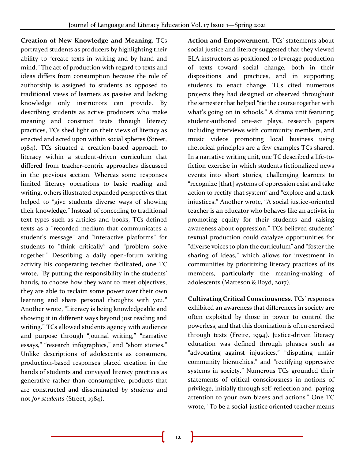**Creation of New Knowledge and Meaning.** TCs portrayed students as producers by highlighting their ability to "create texts in writing and by hand and mind." The act of production with regard to texts and ideas differs from consumption because the role of authorship is assigned to students as opposed to traditional views of learners as passive and lacking knowledge only instructors can provide. By describing students as active producers who make meaning and construct texts through literacy practices, TCs shed light on their views of literacy as enacted and acted upon within social spheres (Street, 1984). TCs situated a creation-based approach to literacy within a student-driven curriculum that differed from teacher-centric approaches discussed in the previous section. Whereas some responses limited literacy operations to basic reading and writing, others illustrated expanded perspectives that helped to "give students diverse ways of showing their knowledge." Instead of conceding to traditional text types such as articles and books, TCs defined texts as a "recorded medium that communicates a student's message" and "interactive platforms" for students to "think critically" and "problem solve together." Describing a daily open-forum writing activity his cooperating teacher facilitated, one TC wrote, "By putting the responsibility in the students' hands, to choose how they want to meet objectives, they are able to reclaim some power over their own learning and share personal thoughts with you." Another wrote, "Literacy is being knowledgeable and showing it in different ways beyond just reading and writing." TCs allowed students agency with audience and purpose through "journal writing," "narrative essays," "research infographics," and "short stories." Unlike descriptions of adolescents as consumers, production-based responses placed creation in the hands of students and conveyed literacy practices as generative rather than consumptive, products that are constructed and disseminated *by students* and not *for students* (Street, 1984).

**Action and Empowerment.** TCs' statements about social justice and literacy suggested that they viewed ELA instructors as positioned to leverage production of texts toward social change, both in their dispositions and practices, and in supporting students to enact change. TCs cited numerous projects they had designed or observed throughout the semester that helped "tie the course together with what's going on in schools." A drama unit featuring student-authored one-act plays, research papers including interviews with community members, and music videos promoting local business using rhetorical principles are a few examples TCs shared. In a narrative writing unit, one TC described a life-tofiction exercise in which students fictionalized news events into short stories, challenging learners to "recognize [that] systems of oppression exist and take action to rectify that system" and "explore and attack injustices." Another wrote, "A social justice-oriented teacher is an educator who behaves like an activist in promoting equity for their students and raising awareness about oppression." TCs believed students' textual production could catalyze opportunities for "diverse voices to plan the curriculum" and "foster the sharing of ideas," which allows for investment in communities by prioritizing literacy practices of its members, particularly the meaning-making of adolescents (Matteson & Boyd, 2017).

**Cultivating Critical Consciousness.** TCs' responses exhibited an awareness that differences in society are often exploited by those in power to control the powerless, and that this domination is often exercised through texts (Freire, 1994). Justice-driven literacy education was defined through phrases such as "advocating against injustices," "disputing unfair community hierarchies," and "rectifying oppressive systems in society." Numerous TCs grounded their statements of critical consciousness in notions of privilege, initially through self-reflection and "paying attention to your own biases and actions." One TC wrote, "To be a social-justice oriented teacher means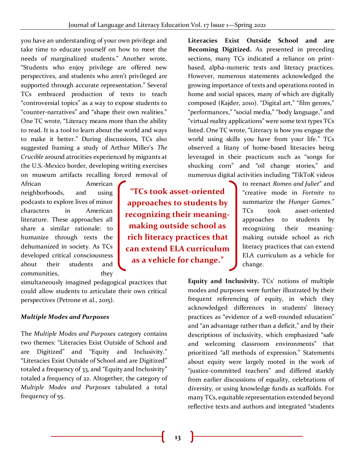you have an understanding of your own privilege and take time to educate yourself on how to meet the needs of marginalized students." Another wrote, "Students who enjoy privilege are offered new perspectives, and students who aren't privileged are supported through accurate representation." Several TCs embraced production of texts to teach "controversial topics" as a way to expose students to "counter-narratives" and "shape their own realities." One TC wrote, "Literacy means more than the ability to read. It is a tool to learn about the world and ways to make it better." During discussions, TCs also suggested framing a study of Arthur Miller's *The Crucible* around atrocities experienced by migrants at the U.S.-Mexico border, developing writing exercises on museum artifacts recalling forced removal of

African American neighborhoods, and using podcasts to explore lives of minor characters in American literature. These approaches all share a similar rationale: to humanize through texts the dehumanized in society. As TCs developed critical consciousness about their students and communities, they

**recognizing their meaningmaking outside school as rich literacy practices that can extend ELA curriculum as a vehicle for change."**

**"TCs took asset-oriented** 

**approaches to students by** 

simultaneously imagined pedagogical practices that could allow students to articulate their own critical perspectives (Petrone et al., 2015).

## *Multiple Modes and Purposes*

The *Multiple Modes and Purposes* category contains two themes: "Literacies Exist Outside of School and are Digitized" and "Equity and Inclusivity." "Literacies Exist Outside of School and are Digitized" totaled a frequency of 33, and "Equity and Inclusivity" totaled a frequency of 22. Altogether, the category of *Multiple Modes and Purposes* tabulated a total frequency of 55.

**Literacies Exist Outside School and are Becoming Digitized.** As presented in preceding sections, many TCs indicated a reliance on printbased, alpha-numeric texts and literacy practices. However, numerous statements acknowledged the growing importance of texts and operations rooted in home and social spaces, many of which are digitally composed (Kajder, 2010). "Digital art," "film genres," "performances," "social media," "body language," and "virtual reality applications" were some text types TCs listed. One TC wrote, "Literacy is how you engage the world using skills you have from your life." TCs observed a litany of home-based literacies being leveraged in their practicum such as "songs for shucking corn" and "oil change stories," and numerous digital activities including "TikToK videos

> to reenact *Romeo and Juliet*" and "creative mode in *Fortnite* to summarize the *Hunger Games*." TCs took asset-oriented approaches to students by recognizing their meaningmaking outside school as rich literacy practices that can extend ELA curriculum as a vehicle for change.

**Equity and Inclusivity.** TCs' notions of multiple modes and purposes were further illustrated by their frequent referencing of equity, in which they acknowledged differences in students' literacy practices as "evidence of a well-rounded education" and "an advantage rather than a deficit," and by their descriptions of inclusivity, which emphasized "safe and welcoming classroom environments" that prioritized "all methods of expression." Statements about equity were largely rooted in the work of "justice-committed teachers" and differed starkly from earlier discussions of equality, celebrations of diversity, or using knowledge funds as scaffolds. For many TCs, equitable representation extended beyond reflective texts and authors and integrated "students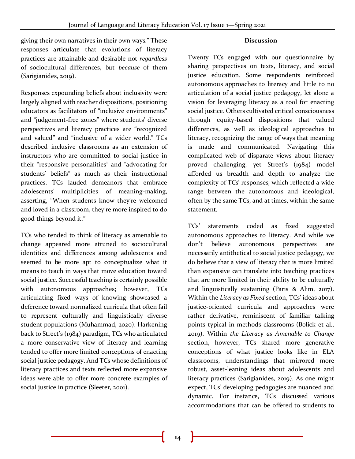#### **Discussion**

giving their own narratives in their own ways." These responses articulate that evolutions of literacy practices are attainable and desirable not *regardless*  of sociocultural differences, but *because* of them (Sarigianides, 2019).

Responses expounding beliefs about inclusivity were largely aligned with teacher dispositions, positioning educators as facilitators of "inclusive environments" and "judgement-free zones" where students' diverse perspectives and literacy practices are "recognized and valued" and "inclusive of a wider world." TCs described inclusive classrooms as an extension of instructors who are committed to social justice in their "responsive personalities" and "advocating for students' beliefs" as much as their instructional practices. TCs lauded demeanors that embrace adolescents' multiplicities of meaning-making, asserting, "When students know they're welcomed and loved in a classroom, they're more inspired to do good things beyond it."

TCs who tended to think of literacy as amenable to change appeared more attuned to sociocultural identities and differences among adolescents and seemed to be more apt to conceptualize what it means to teach in ways that move education toward social justice. Successful teaching is certainly possible with autonomous approaches; however, TCs articulating fixed ways of knowing showcased a deference toward normalized curricula that often fail to represent culturally and linguistically diverse student populations (Muhammad, 2020). Harkening back to Street's (1984) paradigm, TCs who articulated a more conservative view of literacy and learning tended to offer more limited conceptions of enacting social justice pedagogy. And TCs whose definitions of literacy practices and texts reflected more expansive ideas were able to offer more concrete examples of social justice in practice (Sleeter, 2001).

Twenty TCs engaged with our questionnaire by sharing perspectives on texts, literacy, and social justice education. Some respondents reinforced autonomous approaches to literacy and little to no articulation of a social justice pedagogy, let alone a vision for leveraging literacy as a tool for enacting social justice. Others cultivated critical consciousness through equity-based dispositions that valued differences, as well as ideological approaches to literacy, recognizing the range of ways that meaning is made and communicated. Navigating this complicated web of disparate views about literacy proved challenging, yet Street's (1984) model afforded us breadth and depth to analyze the complexity of TCs' responses, which reflected a wide range between the autonomous and ideological, often by the same TCs, and at times, within the same statement.

TCs' statements coded as fixed suggested autonomous approaches to literacy. And while we don't believe autonomous perspectives are necessarily antithetical to social justice pedagogy, we do believe that a view of literacy that is more limited than expansive can translate into teaching practices that are more limited in their ability to be culturally and linguistically sustaining (Paris & Alim, 2017). Within the *Literacy as Fixed* section, TCs' ideas about justice-oriented curricula and approaches were rather derivative, reminiscent of familiar talking points typical in methods classrooms (Bolick et al., 2019). Within *the Literacy as Amenable to Change* section, however, TCs shared more generative conceptions of what justice looks like in ELA classrooms, understandings that mirrored more robust, asset-leaning ideas about adolescents and literacy practices (Sarigianides, 2019). As one might expect, TCs' developing pedagogies are nuanced and dynamic. For instance, TCs discussed various accommodations that can be offered to students to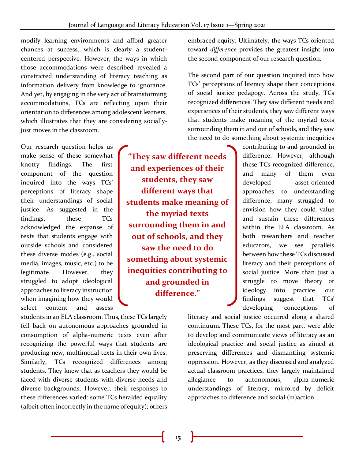modify learning environments and afford greater chances at success, which is clearly a studentcentered perspective. However, the ways in which those accommodations were described revealed a constricted understanding of literacy teaching as information delivery from knowledge to ignorance. And yet, by engaging in the very act of brainstorming accommodations, TCs are reflecting upon their orientation to differences among adolescent learners, which illustrates that they are considering sociallyjust moves in the classroom.

Our research question helps us make sense of these somewhat knotty findings. The first component of the question inquired into the ways TCs' perceptions of literacy shape their understandings of social justice. As suggested in the findings, these TCs acknowledged the expanse of texts that students engage with outside schools and considered these diverse modes (e.g., social media, images, music, etc.) to be legitimate. However, they struggled to adopt ideological approaches to literacy instruction when imagining how they would select content and assess

students in an ELA classroom. Thus, these TCs largely fell back on autonomous approaches grounded in consumption of alpha-numeric texts even after recognizing the powerful ways that students are producing new, multimodal texts in their own lives. Similarly, TCs recognized differences among students. They knew that as teachers they would be faced with diverse students with diverse needs and diverse backgrounds. However, their responses to these differences varied: some TCs heralded equality (albeit often incorrectly in the name of equity); others

**"They saw different needs and experiences of their students, they saw different ways that students make meaning of the myriad texts surrounding them in and out of schools, and they saw the need to do something about systemic inequities contributing to and grounded in difference."**

embraced equity. Ultimately, the ways TCs oriented toward *difference* provides the greatest insight into the second component of our research question.

The second part of our question inquired into how TCs' perceptions of literacy shape their conceptions of social justice pedagogy. Across the study, TCs recognized differences. They saw different needs and experiences of their students, they saw different ways that students make meaning of the myriad texts surrounding them in and out of schools, and they saw the need to do something about systemic inequities

> contributing to and grounded in difference. However, although these TCs recognized difference, and many of them even developed asset-oriented approaches to understanding difference, many struggled to envision how they could value and sustain these differences within the ELA classroom. As both researchers and teacher educators, we see parallels between how these TCs discussed literacy and their perceptions of social justice. More than just a struggle to move theory or ideology into practice, our findings suggest that TCs' developing conceptions of

literacy and social justice occurred along a shared continuum. These TCs, for the most part, were able to develop and communicate views of literacy as an ideological practice and social justice as aimed at preserving differences and dismantling systemic oppression. However, as they discussed and analyzed actual classroom practices, they largely maintained allegiance to autonomous, alpha-numeric understandings of literacy, mirrored by deficit approaches to difference and social (in)action.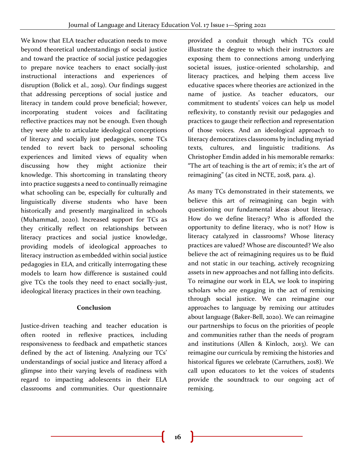We know that ELA teacher education needs to move beyond theoretical understandings of social justice and toward the practice of social justice pedagogies to prepare novice teachers to enact socially-just instructional interactions and experiences of disruption (Bolick et al., 2019). Our findings suggest that addressing perceptions of social justice and literacy in tandem could prove beneficial; however, incorporating student voices and facilitating reflective practices may not be enough. Even though they were able to articulate ideological conceptions of literacy and socially just pedagogies, some TCs tended to revert back to personal schooling experiences and limited views of equality when discussing how they might actionize their knowledge. This shortcoming in translating theory into practice suggests a need to continually reimagine what schooling can be, especially for culturally and linguistically diverse students who have been historically and presently marginalized in schools (Muhammad, 2020). Increased support for TCs as they critically reflect on relationships between literacy practices and social justice knowledge, providing models of ideological approaches to literacy instruction as embedded within social justice pedagogies in ELA, and critically interrogating these models to learn how difference is sustained could give TCs the tools they need to enact socially-just, ideological literacy practices in their own teaching.

#### **Conclusion**

Justice-driven teaching and teacher education is often rooted in reflexive practices, including responsiveness to feedback and empathetic stances defined by the act of listening. Analyzing our TCs' understandings of social justice and literacy afford a glimpse into their varying levels of readiness with regard to impacting adolescents in their ELA classrooms and communities. Our questionnaire

provided a conduit through which TCs could illustrate the degree to which their instructors are exposing them to connections among underlying societal issues, justice-oriented scholarship, and literacy practices, and helping them access live educative spaces where theories are actionized in the name of justice. As teacher educators, our commitment to students' voices can help us model reflexivity, to constantly revisit our pedagogies and practices to gauge their reflection and representation of those voices. And an ideological approach to literacy democratizes classrooms by including myriad texts, cultures, and linguistic traditions. As Christopher Emdin added in his memorable remarks: "The art of teaching is the art of remix; it's the art of reimagining" (as cited in NCTE, 2018, para. 4).

As many TCs demonstrated in their statements, we believe this art of reimagining can begin with questioning our fundamental ideas about literacy. How do we define literacy? Who is afforded the opportunity to define literacy, who is not? How is literacy catalyzed in classrooms? Whose literacy practices are valued? Whose are discounted? We also believe the act of reimagining requires us to be fluid and not static in our teaching, actively recognizing assets in new approaches and not falling into deficits. To reimagine our work in ELA, we look to inspiring scholars who are engaging in the act of remixing through social justice. We can reimagine our approaches to language by remixing our attitudes about language (Baker-Bell, 2020). We can reimagine our partnerships to focus on the priorities of people and communities rather than the needs of program and institutions (Allen & Kinloch, 2013). We can reimagine our curricula by remixing the histories and historical figures we celebrate (Carruthers, 2018). We call upon educators to let the voices of students provide the soundtrack to our ongoing act of remixing.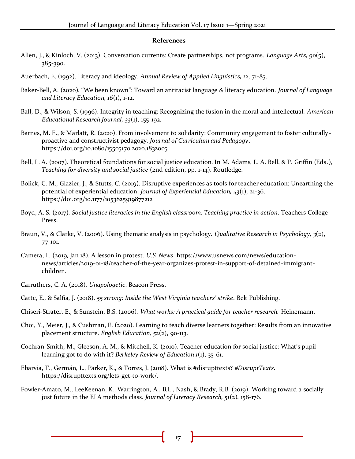#### **References**

- Allen, J., & Kinloch, V. (2013). Conversation currents: Create partnerships, not programs. *Language Arts, 90*(5), 385-390.
- Auerbach, E. (1992). Literacy and ideology. *Annual Review of Applied Linguistics, 12*, 71-85.
- Baker-Bell, A. (2020). "We been known": Toward an antiracist language & literacy education. *Journal of Language and Literacy Education, 16*(1), 1-12.
- Ball, D., & Wilson, S. (1996). Integrity in teaching: Recognizing the fusion in the moral and intellectual. *American Educational Research Journal, 33*(1), 155-192.
- Barnes, M. E., & Marlatt, R. (2020). From involvement to solidarity: Community engagement to foster culturallyproactive and constructivist pedagogy*. Journal of Curriculum and Pedagogy*. https://doi.org/10.1080/15505170.2020.1832005
- Bell, L. A. (2007). Theoretical foundations for social justice education. In M. Adams, L. A. Bell, & P. Griffin (Eds .), *Teaching for diversity and social justice* (2nd edition, pp. 1-14). Routledge.
- Bolick, C. M., Glazier, J., & Stutts, C. (2019). Disruptive experiences as tools for teacher education: Unearthing the potential of experiential education. *Journal of Experiential Education, 43*(1), 21-36. https://doi.org/10.1177/1053825919877212
- Boyd, A. S. (2017). *Social justice literacies in the English classroom: Teaching practice in action*. Teachers College Press.
- Braun, V., & Clarke, V. (2006). Using thematic analysis in psychology. *Qualitative Research in Psychology, 3*(2), 77-101.
- Camera, L. (2019, Jan 18). A lesson in protest. *U.S. News*. https://www.usnews.com/news/educationnews/articles/2019-01-18/teacher-of-the-year-organizes-protest-in-support-of-detained-immigrantchildren.
- Carruthers, C. A. (2018). *Unapologetic*. Beacon Press.
- Catte, E., & Salfia, J. (2018). *55 strong: Inside the West Virginia teachers' strike*. Belt Publishing.
- Chiseri-Strater, E., & Sunstein, B.S. (2006). *What works: A practical guide for teacher research.* Heinemann.
- Choi, Y., Meier, J., & Cushman, E. (2020). Learning to teach diverse learners together: Results from an innovative placement structure. *English Education, 52*(2), 90-113.
- Cochran-Smith, M., Gleeson, A. M., & Mitchell, K. (2010). Teacher education for social justice: What's pupil learning got to do with it? *Berkeley Review of Education 1*(1), 35-61.
- Ebarvia, T., Germán, L., Parker, K., & Torres, J. (2018). What is #disrupttexts? *#DisruptTexts*. https://disrupttexts.org/lets-get-to-work/.
- Fowler-Amato, M., LeeKeenan, K., Warrington, A., B.L., Nash, & Brady, R.B. (2019). Working toward a socially just future in the ELA methods class. *Journal of Literacy Research, 51*(2), 158-176.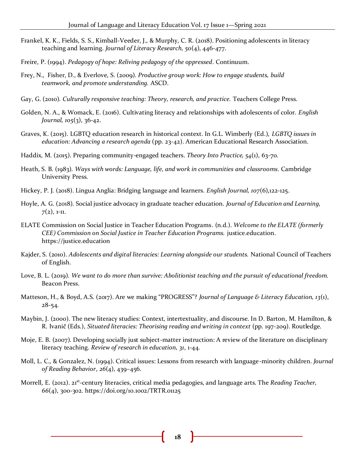- Frankel, K. K., Fields, S. S., Kimball-Veeder, J., & Murphy, C. R. (2018). Positioning adolescents in literacy teaching and learning. *Journal of Literacy Research, 50*(4), 446-477.
- Freire, P. (1994). *Pedagogy of hope: Reliving pedagogy of the oppressed*. Continuum.
- Frey, N., Fisher, D., & Everlove, S. (2009). *Productive group work: How to engage students, build teamwork, and promote understanding.* ASCD.
- Gay, G. (2010). *Culturally responsive teaching: Theory, research, and practice.* Teachers College Press.
- Golden, N. A., & Womack, E. (2016). Cultivating literacy and relationships with adolescents of color. *English Journal, 105*(3), 36-42.
- Graves, K. (2015). LGBTQ education research in historical context. In G.L. Wimberly (Ed.), *LGBTQ issues in education: Advancing a research agenda* (pp. 23-42). American Educational Research Association.
- Haddix, M. (2015). Preparing community-engaged teachers. *Theory Into Practice, 54*(1), 63-70.
- Heath, S. B. (1983). *Ways with words: Language, life, and work in communities and classrooms*. Cambridge University Press.
- Hickey, P. J. (2018). Lingua Anglia: Bridging language and learners. *English Journal, 107*(6),122-125.
- Hoyle, A. G. (2018). Social justice advocacy in graduate teacher education. *Journal of Education and Learning, 7*(2), 1-11.
- ELATE Commission on Social Justice in Teacher Education Programs. (n.d.). *Welcome to the ELATE (formerly CEE) Commission on Social Justice in Teacher Education Programs.* justice.education. https://justice.education
- Kajder, S. (2010). *Adolescents and digital literacies: Learning alongside our students.* National Council of Teachers of English.
- Love, B. L. (2019). *We want to do more than survive: Abolitionist teaching and the pursuit of educational freedom.* Beacon Press.
- Matteson, H., & Boyd, A.S. (2017). Are we making "PROGRESS"? *Journal of Language & Literacy Education, 13*(1), 28-54.
- Maybin, J. (2000). The new literacy studies: Context, intertextuality, and discourse. In D. Barton, M. Hamilton, & R. Ivanič (Eds.), *Situated literacies: Theorising reading and writing in context* (pp. 197-209). Routledge.
- Moje, E. B. (2007). Developing socially just subject-matter instruction: A review of the literature on disciplinary literacy teaching. *Review of research in education, 31*, 1-44.
- Moll, L. C., & Gonzalez, N. (1994). Critical issues: Lessons from research with language-minority children. *Journal of Reading Behavior*, *26*(4), 439–456.
- Morrell, E. (2012). 21<sup>st</sup>-century literacies, critical media pedagogies, and language arts. The *Reading Teacher, 66*(4), 300-302. https://doi.org/10.1002/TRTR.01125